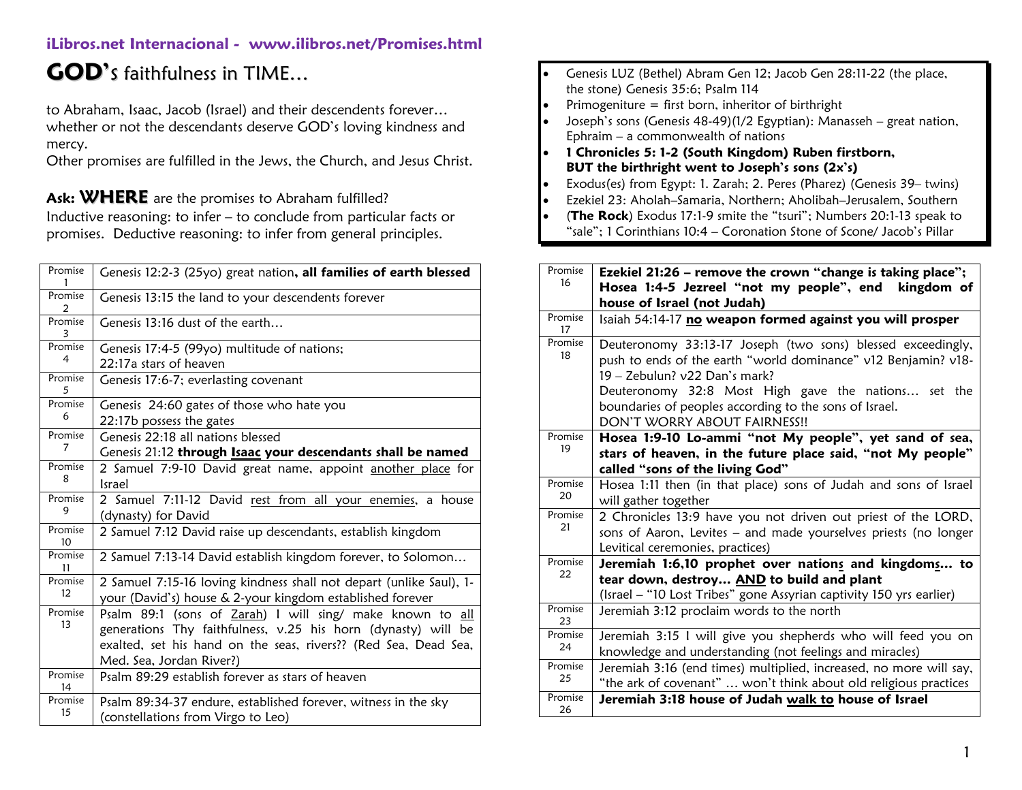# **GOD'**s faithfulness in TIME…

to Abraham, Isaac, Jacob (Israel) and their descendents forever… whether or not the descendants deserve GOD's loving kindness and mercy.

Other promises are fulfilled in the Jews, the Church, and Jesus Christ.

Ask: **WHERE** are the promises to Abraham fulfilled? Inductive reasoning: to infer – to conclude from particular facts or promises. Deductive reasoning: to infer from general principles.

| Promise           | Genesis 12:2-3 (25yo) great nation, all families of earth blessed   |
|-------------------|---------------------------------------------------------------------|
| Promise<br>2      | Genesis 13:15 the land to your descendents forever                  |
| Promise           | Genesis 13:16 dust of the earth                                     |
| Promise           | Genesis 17:4-5 (99yo) multitude of nations;                         |
| 4                 | 22:17a stars of heaven                                              |
| Promise<br>5      | Genesis 17:6-7; everlasting covenant                                |
| Promise           | Genesis 24:60 gates of those who hate you                           |
| 6                 | 22:17b possess the gates                                            |
| Promise           | Genesis 22:18 all nations blessed                                   |
| 7                 | Genesis 21:12 through <b>Isaac your descendants shall be named</b>  |
| Promise           | 2 Samuel 7:9-10 David great name, appoint another place for         |
| 8                 | <b>Israel</b>                                                       |
| Promise           | 2 Samuel 7:11-12 David rest from all your enemies, a house          |
| 9                 | (dynasty) for David                                                 |
| Promise<br>10     | 2 Samuel 7:12 David raise up descendants, establish kingdom         |
| Promise<br>11     | 2 Samuel 7:13-14 David establish kingdom forever, to Solomon        |
| Promise           | 2 Samuel 7:15-16 loving kindness shall not depart (unlike Saul), 1- |
| $12 \overline{ }$ | your (David's) house & 2-your kingdom established forever           |
| Promise           | Psalm 89:1 (sons of Zarah) I will sing/ make known to all           |
| 13                | generations Thy faithfulness, v.25 his horn (dynasty) will be       |
|                   | exalted, set his hand on the seas, rivers?? (Red Sea, Dead Sea,     |
|                   | Med. Sea, Jordan River?)                                            |
| Promise<br>14     | Psalm 89:29 establish forever as stars of heaven                    |
| Promise           | Psalm 89:34-37 endure, established forever, witness in the sky      |
| 15                | (constellations from Virgo to Leo)                                  |

- Genesis LUZ (Bethel) Abram Gen 12; Jacob Gen 28:11-22 (the place, the stone) Genesis 35:6; Psalm 114
- Primogeniture = first born, inheritor of birthright
- Joseph's sons (Genesis 48-49)(1/2 Egyptian): Manasseh great nation, Ephraim – a commonwealth of nations
- **1 Chronicles 5: 1-2 (South Kingdom) Ruben firstborn, BUT the birthright went to Joseph's sons (2x's)**
- Exodus(es) from Egypt: 1. Zarah; 2. Peres (Pharez) (Genesis 39– twins)
- Ezekiel 23: Aholah–Samaria, Northern; Aholibah–Jerusalem, Southern
- (**The Rock**) Exodus 17:1-9 smite the "tsuri"; Numbers 20:1-13 speak to "sale"; 1 Corinthians 10:4 – Coronation Stone of Scone/ Jacob's Pillar

| Promise       | Ezekiel 21:26 – remove the crown "change is taking place";                                                                                                                                                                                                                                                      |
|---------------|-----------------------------------------------------------------------------------------------------------------------------------------------------------------------------------------------------------------------------------------------------------------------------------------------------------------|
| 16            | Hosea 1:4-5 Jezreel "not my people", end<br>kingdom of                                                                                                                                                                                                                                                          |
|               | house of Israel (not Judah)                                                                                                                                                                                                                                                                                     |
| Promise<br>17 | Isaiah 54:14-17 no weapon formed against you will prosper                                                                                                                                                                                                                                                       |
| Promise<br>18 | Deuteronomy 33:13-17 Joseph (two sons) blessed exceedingly,<br>push to ends of the earth "world dominance" v12 Benjamin? v18-<br>19 – Zebulun? v22 Dan's mark?<br>Deuteronomy 32:8 Most High gave the nations set the<br>boundaries of peoples according to the sons of Israel.<br>DON'T WORRY ABOUT FAIRNESS!! |
| Promise<br>19 | Hosea 1:9-10 Lo-ammi "not My people", yet sand of sea,<br>stars of heaven, in the future place said, "not My people"<br>called "sons of the living God"                                                                                                                                                         |
| Promise<br>20 | Hosea 1:11 then (in that place) sons of Judah and sons of Israel<br>will gather together                                                                                                                                                                                                                        |
| Promise<br>21 | 2 Chronicles 13:9 have you not driven out priest of the LORD,<br>sons of Aaron, Levites - and made yourselves priests (no longer<br>Levitical ceremonies, practices)                                                                                                                                            |
| Promise<br>22 | Jeremiah 1:6,10 prophet over nations and kingdoms to<br>tear down, destroy AND to build and plant<br>(Israel - "10 Lost Tribes" gone Assyrian captivity 150 yrs earlier)                                                                                                                                        |
| Promise<br>23 | Jeremiah 3:12 proclaim words to the north                                                                                                                                                                                                                                                                       |
| Promise<br>24 | Jeremiah 3:15 I will give you shepherds who will feed you on<br>knowledge and understanding (not feelings and miracles)                                                                                                                                                                                         |
| Promise<br>25 | Jeremiah 3:16 (end times) multiplied, increased, no more will say,<br>"the ark of covenant"  won't think about old religious practices                                                                                                                                                                          |
| Promise<br>26 | Jeremiah 3:18 house of Judah walk to house of Israel                                                                                                                                                                                                                                                            |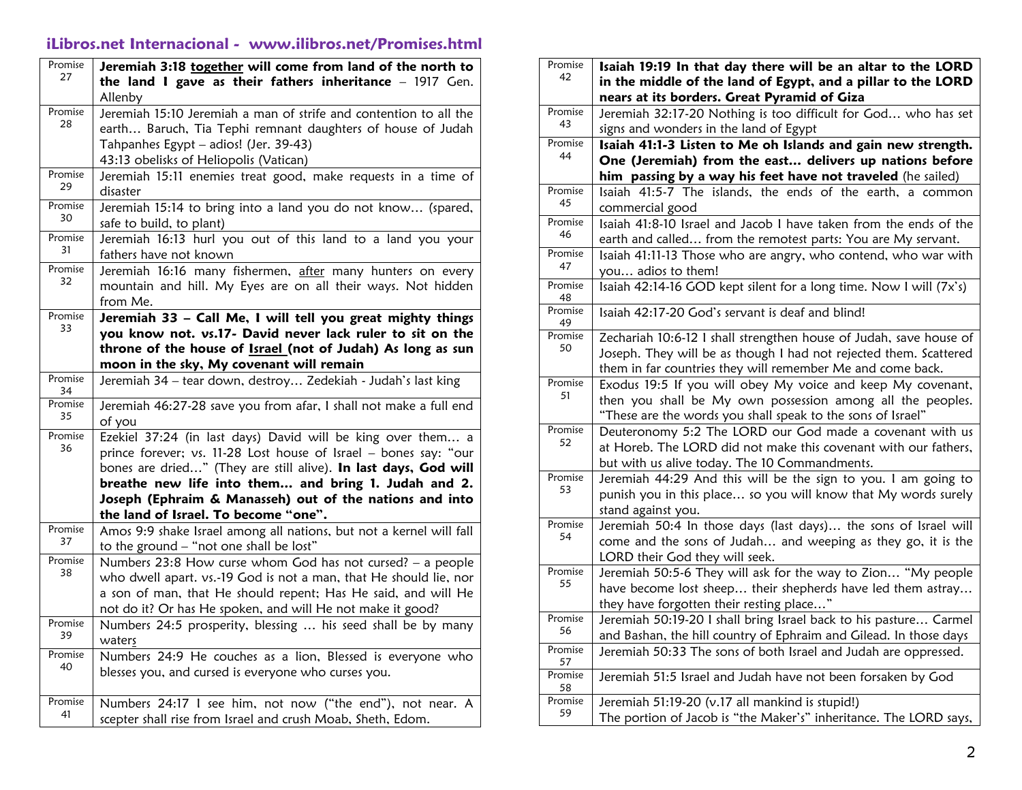| Promise<br>27 | Jeremiah 3:18 together will come from land of the north to                               |
|---------------|------------------------------------------------------------------------------------------|
|               | the land I gave as their fathers inheritance - 1917 Gen.                                 |
|               | Allenby                                                                                  |
| Promise<br>28 | Jeremiah 15:10 Jeremiah a man of strife and contention to all the                        |
|               | earth Baruch, Tia Tephi remnant daughters of house of Judah                              |
|               | Tahpanhes Egypt - adios! (Jer. 39-43)                                                    |
|               | 43:13 obelisks of Heliopolis (Vatican)                                                   |
| Promise<br>29 | Jeremiah 15:11 enemies treat good, make requests in a time of<br>disaster                |
| Promise<br>30 | Jeremiah 15:14 to bring into a land you do not know (spared,<br>safe to build, to plant) |
| Promise       | Jeremiah 16:13 hurl you out of this land to a land you your                              |
| 31            | fathers have not known                                                                   |
| Promise       | Jeremiah 16:16 many fishermen, after many hunters on every                               |
| 32            | mountain and hill. My Eyes are on all their ways. Not hidden                             |
|               | from Me.                                                                                 |
| Promise       | Jeremiah 33 - Call Me, I will tell you great mighty things                               |
| 33            | you know not. vs.17- David never lack ruler to sit on the                                |
|               | throne of the house of <b>Israel</b> (not of Judah) As long as sun                       |
|               | moon in the sky, My covenant will remain                                                 |
| Promise<br>34 | Jeremiah 34 - tear down, destroy Zedekiah - Judah's last king                            |
| Promise       | Jeremiah 46:27-28 save you from afar, I shall not make a full end                        |
| 35            | of you                                                                                   |
| Promise       | Ezekiel 37:24 (in last days) David will be king over them a                              |
| 36            | prince forever; vs. 11-28 Lost house of Israel - bones say: "our                         |
|               | bones are dried" (They are still alive). In last days, God will                          |
|               | breathe new life into them and bring 1. Judah and 2.                                     |
|               | Joseph (Ephraim & Manasseh) out of the nations and into                                  |
|               | the land of Israel. To become "one".                                                     |
| Promise<br>37 | Amos 9:9 shake Israel among all nations, but not a kernel will fall                      |
|               | to the ground - "not one shall be lost"                                                  |
| Promise<br>38 | Numbers 23:8 How curse whom God has not cursed? - a people                               |
|               | who dwell apart. vs.-19 God is not a man, that He should lie, nor                        |
|               | a son of man, that He should repent; Has He said, and will He                            |
|               | not do it? Or has He spoken, and will He not make it good?                               |
| Promise<br>39 | Numbers 24:5 prosperity, blessing  his seed shall be by many<br>waters                   |
| Promise<br>40 | Numbers 24:9 He couches as a lion, Blessed is everyone who                               |
|               | blesses you, and cursed is everyone who curses you.                                      |
| Promise       | Numbers 24:17 I see him, not now ("the end"), not near. A                                |
| 41            | scepter shall rise from Israel and crush Moab, Sheth, Edom.                              |

| Promise       | Isaiah 19:19 In that day there will be an altar to the LORD                                                               |
|---------------|---------------------------------------------------------------------------------------------------------------------------|
| 42            | in the middle of the land of Egypt, and a pillar to the LORD                                                              |
|               | nears at its borders. Great Pyramid of Giza                                                                               |
| Promise       | Jeremiah 32:17-20 Nothing is too difficult for God who has set                                                            |
| 43            | signs and wonders in the land of Egypt                                                                                    |
| Promise       | Isaiah 41:1-3 Listen to Me oh Islands and gain new strength.                                                              |
| 44            | One (Jeremiah) from the east delivers up nations before                                                                   |
|               | him passing by a way his feet have not traveled (he sailed)                                                               |
| Promise<br>45 | Isaiah 41:5-7 The islands, the ends of the earth, a common                                                                |
|               | commercial good                                                                                                           |
| Promise<br>46 | Isaiah 41:8-10 Israel and Jacob I have taken from the ends of the                                                         |
|               | earth and called from the remotest parts: You are My servant.                                                             |
| Promise<br>47 | Isaiah 41:11-13 Those who are angry, who contend, who war with                                                            |
|               | you adios to them!                                                                                                        |
| Promise<br>48 | Isaiah 42:14-16 GOD kept silent for a long time. Now I will (7x's)                                                        |
| Promise<br>49 | Isaiah 42:17-20 God's servant is deaf and blind!                                                                          |
| Promise       | Zechariah 10:6-12 I shall strengthen house of Judah, save house of                                                        |
| 50            | Joseph. They will be as though I had not rejected them. Scattered                                                         |
|               | them in far countries they will remember Me and come back.                                                                |
| Promise<br>51 | Exodus 19:5 If you will obey My voice and keep My covenant,                                                               |
|               | then you shall be My own possession among all the peoples.<br>"These are the words you shall speak to the sons of Israel" |
| Promise       | Deuteronomy 5:2 The LORD our God made a covenant with us                                                                  |
| 52            | at Horeb. The LORD did not make this covenant with our fathers,                                                           |
|               | but with us alive today. The 10 Commandments.                                                                             |
| Promise       | Jeremiah 44:29 And this will be the sign to you. I am going to                                                            |
| 53            | punish you in this place so you will know that My words surely                                                            |
|               | stand against you.                                                                                                        |
| Promise<br>54 | Jeremiah 50:4 In those days (last days) the sons of Israel will                                                           |
|               | come and the sons of Judah and weeping as they go, it is the                                                              |
|               | LORD their God they will seek.                                                                                            |
| Promise<br>55 | Jeremiah 50:5-6 They will ask for the way to Zion "My people                                                              |
|               | have become lost sheep their shepherds have led them astray                                                               |
|               | they have forgotten their resting place"                                                                                  |
| Promise<br>56 | Jeremiah 50:19-20 I shall bring Israel back to his pasture Carmel                                                         |
| Promise       | and Bashan, the hill country of Ephraim and Gilead. In those days                                                         |
| 57            | Jeremiah 50:33 The sons of both Israel and Judah are oppressed.                                                           |
| Promise<br>58 | Jeremiah 51:5 Israel and Judah have not been forsaken by God                                                              |
| Promise       | Jeremiah 51:19-20 (v.17 all mankind is stupid!)                                                                           |
| 59            | The portion of Jacob is "the Maker's" inheritance. The LORD says,                                                         |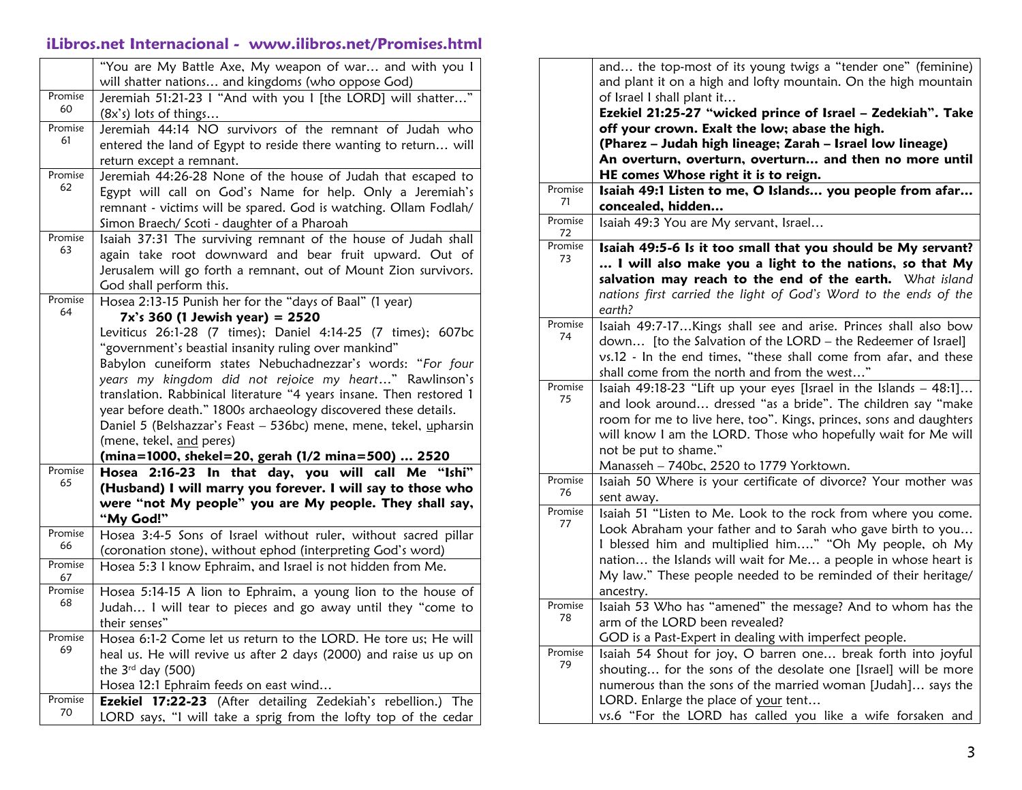|               | "You are My Battle Axe, My weapon of war and with you I             |
|---------------|---------------------------------------------------------------------|
|               | will shatter nations and kingdoms (who oppose God)                  |
| Promise       | Jeremiah 51:21-23 I "And with you I [the LORD] will shatter"        |
| 60            | $(8x's)$ lots of things                                             |
| Promise       | Jeremiah 44:14 NO survivors of the remnant of Judah who             |
| 61            | entered the land of Egypt to reside there wanting to return will    |
|               | return except a remnant.                                            |
| Promise       | Jeremiah 44:26-28 None of the house of Judah that escaped to        |
| 62            | Egypt will call on God's Name for help. Only a Jeremiah's           |
|               | remnant - victims will be spared. God is watching. Ollam Fodlah/    |
|               | Simon Braech/ Scoti - daughter of a Pharoah                         |
| Promise       | Isaiah 37:31 The surviving remnant of the house of Judah shall      |
| 63            | again take root downward and bear fruit upward. Out of              |
|               | Jerusalem will go forth a remnant, out of Mount Zion survivors.     |
|               | God shall perform this.                                             |
| Promise       | Hosea 2:13-15 Punish her for the "days of Baal" (1 year)            |
| 64            | $7x's 360$ (1 Jewish year) = 2520                                   |
|               | Leviticus 26:1-28 (7 times); Daniel 4:14-25 (7 times); 607bc        |
|               | "government's beastial insanity ruling over mankind"                |
|               | Babylon cuneiform states Nebuchadnezzar's words: "For four          |
|               | years my kingdom did not rejoice my heart" Rawlinson's              |
|               | translation. Rabbinical literature "4 years insane. Then restored 1 |
|               | year before death." 1800s archaeology discovered these details.     |
|               | Daniel 5 (Belshazzar's Feast - 536bc) mene, mene, tekel, upharsin   |
|               | (mene, tekel, and peres)                                            |
|               | (mina=1000, shekel=20, gerah (1/2 mina=500)  2520                   |
| Promise       | 2:16-23 In that day, you will call Me "Ishi"<br>Hosea               |
| 65            | (Husband) I will marry you forever. I will say to those who         |
|               | were "not My people" you are My people. They shall say,             |
|               | "My God!"                                                           |
| Promise       | Hosea 3:4-5 Sons of Israel without ruler, without sacred pillar     |
| 66            | (coronation stone), without ephod (interpreting God's word)         |
| Promise<br>67 | Hosea 5:3 I know Ephraim, and Israel is not hidden from Me.         |
| Promise       | Hosea 5:14-15 A lion to Ephraim, a young lion to the house of       |
| 68            | Judah I will tear to pieces and go away until they "come to         |
|               | their senses"                                                       |
| Promise       | Hosea 6:1-2 Come let us return to the LORD. He tore us; He will     |
| 69            | heal us. He will revive us after 2 days (2000) and raise us up on   |
|               | the $3rd$ day (500)                                                 |
|               | Hosea 12:1 Ephraim feeds on east wind                               |
| Promise       | Ezekiel 17:22-23 (After detailing Zedekiah's rebellion.) The        |
| 70            | LORD says, "I will take a sprig from the lofty top of the cedar     |

|               | and the top-most of its young twigs a "tender one" (feminine)      |
|---------------|--------------------------------------------------------------------|
|               | and plant it on a high and lofty mountain. On the high mountain    |
|               | of Israel I shall plant it                                         |
|               | Ezekiel 21:25-27 "wicked prince of Israel - Zedekiah". Take        |
|               | off your crown. Exalt the low; abase the high.                     |
|               | (Pharez - Judah high lineage; Zarah - Israel low lineage)          |
|               | An overturn, overturn, overturn and then no more until             |
|               | HE comes Whose right it is to reign.                               |
| Promise       | Isaiah 49:1 Listen to me, O Islands you people from afar           |
| 71            | concealed, hidden                                                  |
| Promise<br>72 | Isaiah 49:3 You are My servant, Israel                             |
| Promise       | Isaiah 49:5-6 Is it too small that you should be My servant?       |
| 73            | I will also make you a light to the nations, so that My            |
|               | salvation may reach to the end of the earth. What island           |
|               | nations first carried the light of God's Word to the ends of the   |
|               | earth?                                                             |
| Promise       | Isaiah 49:7-17Kings shall see and arise. Princes shall also bow    |
| 74            | down [to the Salvation of the LORD - the Redeemer of Israel]       |
|               | vs.12 - In the end times, "these shall come from afar, and these   |
|               | shall come from the north and from the west"                       |
| Promise       | Isaiah 49:18-23 "Lift up your eyes [Israel in the Islands - 48:1]  |
| 75            | and look around dressed "as a bride". The children say "make       |
|               | room for me to live here, too". Kings, princes, sons and daughters |
|               | will know I am the LORD. Those who hopefully wait for Me will      |
|               | not be put to shame."                                              |
|               | Manasseh - 740bc, 2520 to 1779 Yorktown.                           |
| Promise       | Isaiah 50 Where is your certificate of divorce? Your mother was    |
| 76            | sent away.                                                         |
| Promise       | Isaiah 51 "Listen to Me. Look to the rock from where you come.     |
| 77            | Look Abraham your father and to Sarah who gave birth to you        |
|               | I blessed him and multiplied him" "Oh My people, oh My             |
|               | nation the Islands will wait for Me a people in whose heart is     |
|               | My law." These people needed to be reminded of their heritage/     |
|               | ancestry.                                                          |
| Promise       | Isaiah 53 Who has "amened" the message? And to whom has the        |
| 78            | arm of the LORD been revealed?                                     |
|               | GOD is a Past-Expert in dealing with imperfect people.             |
| Promise       | Isaiah 54 Shout for joy, O barren one break forth into joyful      |
| 79            | shouting for the sons of the desolate one [Israel] will be more    |
|               | numerous than the sons of the married woman [Judah] says the       |
|               | LORD. Enlarge the place of your tent                               |
|               | vs.6 "For the LORD has called you like a wife forsaken and         |
|               |                                                                    |